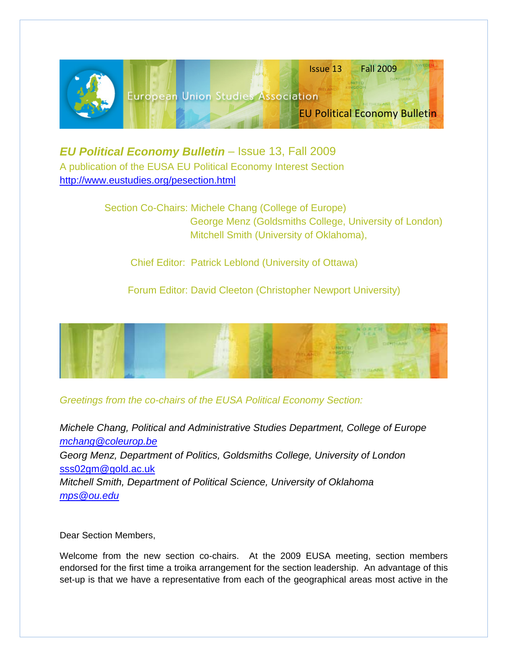

*EU Political Economy Bulletin* – Issue 13, Fall 2009 A publication of the EUSA EU Political Economy Interest Section <http://www.eustudies.org/pesection.html>

> Section Co-Chairs: Michele Chang (College of Europe) George Menz (Goldsmiths College, University of London) Mitchell Smith (University of Oklahoma),

Chief Editor: Patrick Leblond (University of Ottawa)

Forum Editor: David Cleeton (Christopher Newport University)



# *Greetings from the co-chairs of the EUSA Political Economy Section:*

*Michele Chang, Political and Administrative Studies Department, College of Europe [mchang@coleurop.be](mailto:mchang@coleurop.be) Georg Menz, Department of Politics, Goldsmiths College, University of London*  [sss02gm@gold.ac.uk](mailto:sss02gm@gold.ac.uk) *Mitchell Smith, Department of Political Science, University of Oklahoma [mps@ou.edu](mailto:mps@ou.edu)*

Dear Section Members,

Welcome from the new section co-chairs. At the 2009 EUSA meeting, section members endorsed for the first time a troika arrangement for the section leadership. An advantage of this set-up is that we have a representative from each of the geographical areas most active in the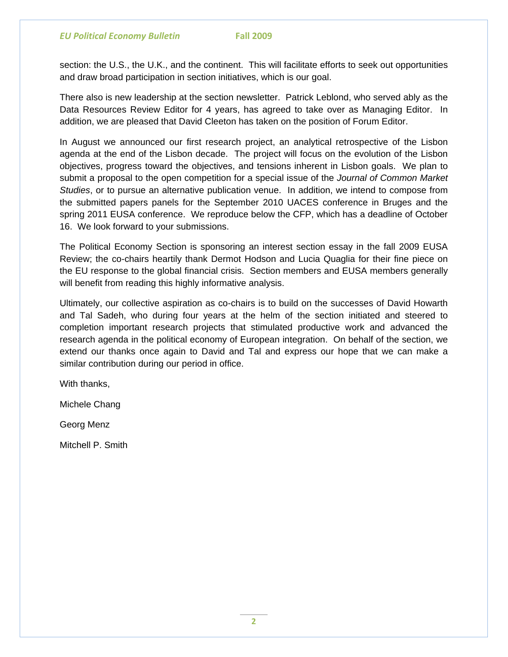section: the U.S., the U.K., and the continent. This will facilitate efforts to seek out opportunities and draw broad participation in section initiatives, which is our goal.

There also is new leadership at the section newsletter. Patrick Leblond, who served ably as the Data Resources Review Editor for 4 years, has agreed to take over as Managing Editor. In addition, we are pleased that David Cleeton has taken on the position of Forum Editor.

In August we announced our first research project, an analytical retrospective of the Lisbon agenda at the end of the Lisbon decade. The project will focus on the evolution of the Lisbon objectives, progress toward the objectives, and tensions inherent in Lisbon goals. We plan to submit a proposal to the open competition for a special issue of the *Journal of Common Market Studies*, or to pursue an alternative publication venue. In addition, we intend to compose from the submitted papers panels for the September 2010 UACES conference in Bruges and the spring 2011 EUSA conference. We reproduce below the CFP, which has a deadline of October 16. We look forward to your submissions.

The Political Economy Section is sponsoring an interest section essay in the fall 2009 EUSA Review; the co-chairs heartily thank Dermot Hodson and Lucia Quaglia for their fine piece on the EU response to the global financial crisis. Section members and EUSA members generally will benefit from reading this highly informative analysis.

Ultimately, our collective aspiration as co-chairs is to build on the successes of David Howarth and Tal Sadeh, who during four years at the helm of the section initiated and steered to completion important research projects that stimulated productive work and advanced the research agenda in the political economy of European integration. On behalf of the section, we extend our thanks once again to David and Tal and express our hope that we can make a similar contribution during our period in office.

With thanks,

Michele Chang

Georg Menz

Mitchell P. Smith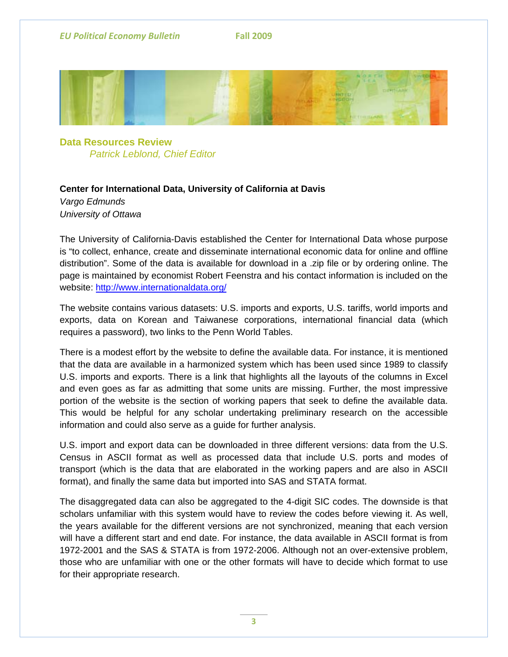

**Data Resources Review**  *Patrick Leblond, Chief Editor*

# **Center for International Data, University of California at Davis**

*Vargo Edmunds University of Ottawa* 

The University of California-Davis established the Center for International Data whose purpose is "to collect, enhance, create and disseminate international economic data for online and offline distribution". Some of the data is available for download in a .zip file or by ordering online. The page is maintained by economist Robert Feenstra and his contact information is included on the website:<http://www.internationaldata.org/>

The website contains various datasets: U.S. imports and exports, U.S. tariffs, world imports and exports, data on Korean and Taiwanese corporations, international financial data (which requires a password), two links to the Penn World Tables.

There is a modest effort by the website to define the available data. For instance, it is mentioned that the data are available in a harmonized system which has been used since 1989 to classify U.S. imports and exports. There is a link that highlights all the layouts of the columns in Excel and even goes as far as admitting that some units are missing. Further, the most impressive portion of the website is the section of working papers that seek to define the available data. This would be helpful for any scholar undertaking preliminary research on the accessible information and could also serve as a guide for further analysis.

U.S. import and export data can be downloaded in three different versions: data from the U.S. Census in ASCII format as well as processed data that include U.S. ports and modes of transport (which is the data that are elaborated in the working papers and are also in ASCII format), and finally the same data but imported into SAS and STATA format.

The disaggregated data can also be aggregated to the 4-digit SIC codes. The downside is that scholars unfamiliar with this system would have to review the codes before viewing it. As well, the years available for the different versions are not synchronized, meaning that each version will have a different start and end date. For instance, the data available in ASCII format is from 1972-2001 and the SAS & STATA is from 1972-2006. Although not an over-extensive problem, those who are unfamiliar with one or the other formats will have to decide which format to use for their appropriate research.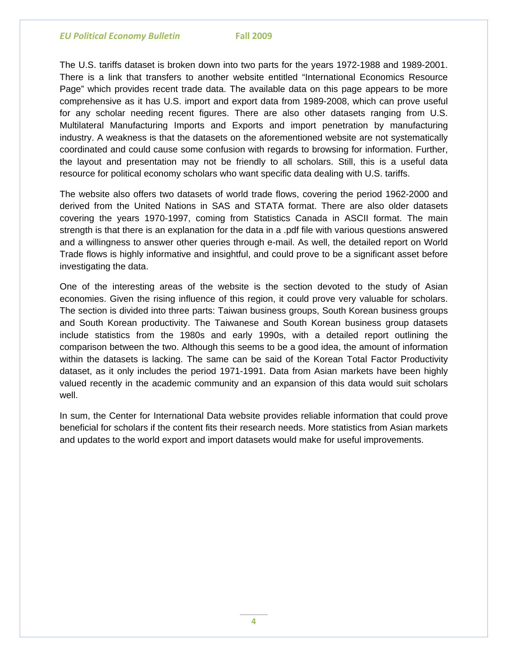The U.S. tariffs dataset is broken down into two parts for the years 1972-1988 and 1989-2001. There is a link that transfers to another website entitled "International Economics Resource Page" which provides recent trade data. The available data on this page appears to be more comprehensive as it has U.S. import and export data from 1989-2008, which can prove useful for any scholar needing recent figures. There are also other datasets ranging from U.S. Multilateral Manufacturing Imports and Exports and import penetration by manufacturing industry. A weakness is that the datasets on the aforementioned website are not systematically coordinated and could cause some confusion with regards to browsing for information. Further, the layout and presentation may not be friendly to all scholars. Still, this is a useful data resource for political economy scholars who want specific data dealing with U.S. tariffs.

The website also offers two datasets of world trade flows, covering the period 1962-2000 and derived from the United Nations in SAS and STATA format. There are also older datasets covering the years 1970-1997, coming from Statistics Canada in ASCII format. The main strength is that there is an explanation for the data in a .pdf file with various questions answered and a willingness to answer other queries through e-mail. As well, the detailed report on World Trade flows is highly informative and insightful, and could prove to be a significant asset before investigating the data.

One of the interesting areas of the website is the section devoted to the study of Asian economies. Given the rising influence of this region, it could prove very valuable for scholars. The section is divided into three parts: Taiwan business groups, South Korean business groups and South Korean productivity. The Taiwanese and South Korean business group datasets include statistics from the 1980s and early 1990s, with a detailed report outlining the comparison between the two. Although this seems to be a good idea, the amount of information within the datasets is lacking. The same can be said of the Korean Total Factor Productivity dataset, as it only includes the period 1971-1991. Data from Asian markets have been highly valued recently in the academic community and an expansion of this data would suit scholars well.

In sum, the Center for International Data website provides reliable information that could prove beneficial for scholars if the content fits their research needs. More statistics from Asian markets and updates to the world export and import datasets would make for useful improvements.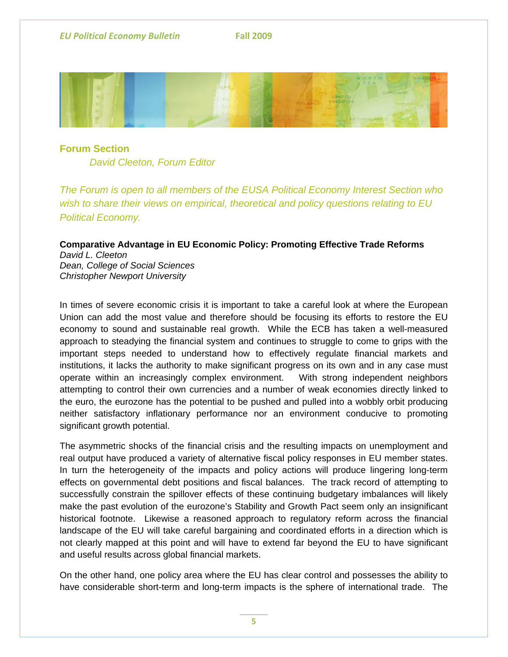

# **Forum Section** *David Cleeton, Forum Editor*

*The Forum is open to all members of the EUSA Political Economy Interest Section who wish to share their views on empirical, theoretical and policy questions relating to EU Political Economy.*

# **Comparative Advantage in EU Economic Policy: Promoting Effective Trade Reforms**

*David L. Cleeton Dean, College of Social Sciences Christopher Newport University* 

In times of severe economic crisis it is important to take a careful look at where the European Union can add the most value and therefore should be focusing its efforts to restore the EU economy to sound and sustainable real growth. While the ECB has taken a well-measured approach to steadying the financial system and continues to struggle to come to grips with the important steps needed to understand how to effectively regulate financial markets and institutions, it lacks the authority to make significant progress on its own and in any case must operate within an increasingly complex environment. With strong independent neighbors attempting to control their own currencies and a number of weak economies directly linked to the euro, the eurozone has the potential to be pushed and pulled into a wobbly orbit producing neither satisfactory inflationary performance nor an environment conducive to promoting significant growth potential.

The asymmetric shocks of the financial crisis and the resulting impacts on unemployment and real output have produced a variety of alternative fiscal policy responses in EU member states. In turn the heterogeneity of the impacts and policy actions will produce lingering long-term effects on governmental debt positions and fiscal balances. The track record of attempting to successfully constrain the spillover effects of these continuing budgetary imbalances will likely make the past evolution of the eurozone's Stability and Growth Pact seem only an insignificant historical footnote. Likewise a reasoned approach to regulatory reform across the financial landscape of the EU will take careful bargaining and coordinated efforts in a direction which is not clearly mapped at this point and will have to extend far beyond the EU to have significant and useful results across global financial markets.

On the other hand, one policy area where the EU has clear control and possesses the ability to have considerable short-term and long-term impacts is the sphere of international trade. The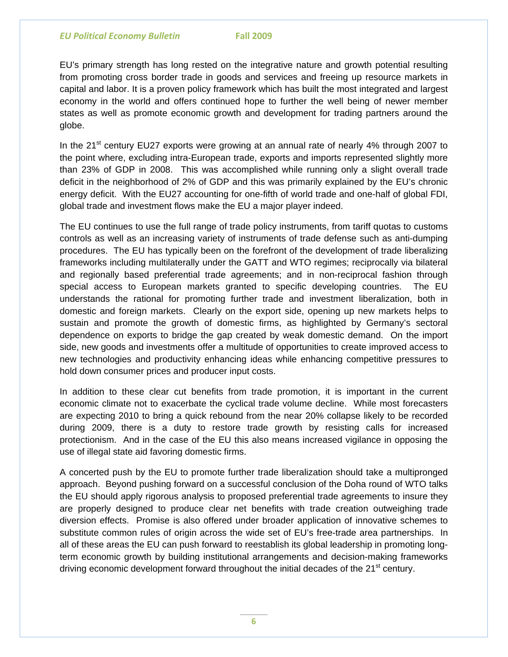EU's primary strength has long rested on the integrative nature and growth potential resulting from promoting cross border trade in goods and services and freeing up resource markets in capital and labor. It is a proven policy framework which has built the most integrated and largest economy in the world and offers continued hope to further the well being of newer member states as well as promote economic growth and development for trading partners around the globe.

In the  $21^{st}$  century EU27 exports were growing at an annual rate of nearly 4% through 2007 to the point where, excluding intra-European trade, exports and imports represented slightly more than 23% of GDP in 2008. This was accomplished while running only a slight overall trade deficit in the neighborhood of 2% of GDP and this was primarily explained by the EU's chronic energy deficit. With the EU27 accounting for one-fifth of world trade and one-half of global FDI, global trade and investment flows make the EU a major player indeed.

The EU continues to use the full range of trade policy instruments, from tariff quotas to customs controls as well as an increasing variety of instruments of trade defense such as anti-dumping procedures. The EU has typically been on the forefront of the development of trade liberalizing frameworks including multilaterally under the GATT and WTO regimes; reciprocally via bilateral and regionally based preferential trade agreements; and in non-reciprocal fashion through special access to European markets granted to specific developing countries. The EU understands the rational for promoting further trade and investment liberalization, both in domestic and foreign markets. Clearly on the export side, opening up new markets helps to sustain and promote the growth of domestic firms, as highlighted by Germany's sectoral dependence on exports to bridge the gap created by weak domestic demand. On the import side, new goods and investments offer a multitude of opportunities to create improved access to new technologies and productivity enhancing ideas while enhancing competitive pressures to hold down consumer prices and producer input costs.

In addition to these clear cut benefits from trade promotion, it is important in the current economic climate not to exacerbate the cyclical trade volume decline. While most forecasters are expecting 2010 to bring a quick rebound from the near 20% collapse likely to be recorded during 2009, there is a duty to restore trade growth by resisting calls for increased protectionism. And in the case of the EU this also means increased vigilance in opposing the use of illegal state aid favoring domestic firms.

A concerted push by the EU to promote further trade liberalization should take a multipronged approach. Beyond pushing forward on a successful conclusion of the Doha round of WTO talks the EU should apply rigorous analysis to proposed preferential trade agreements to insure they are properly designed to produce clear net benefits with trade creation outweighing trade diversion effects. Promise is also offered under broader application of innovative schemes to substitute common rules of origin across the wide set of EU's free-trade area partnerships. In all of these areas the EU can push forward to reestablish its global leadership in promoting longterm economic growth by building institutional arrangements and decision-making frameworks driving economic development forward throughout the initial decades of the 21<sup>st</sup> century.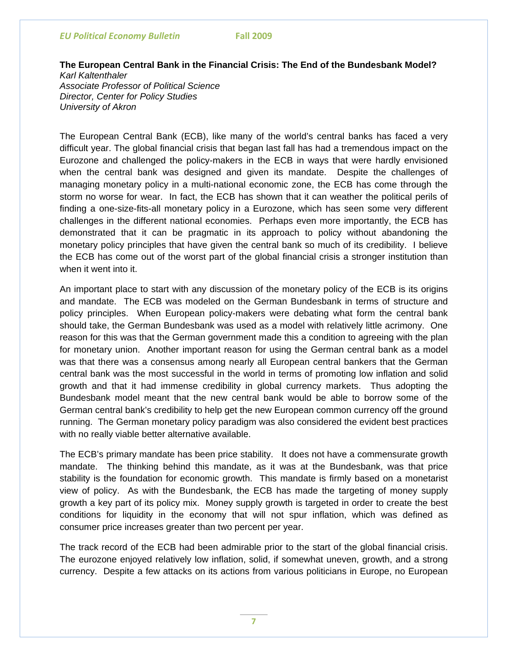#### **The European Central Bank in the Financial Crisis: The End of the Bundesbank Model?**  *Karl Kaltenthaler*

*Associate Professor of Political Science Director, Center for Policy Studies University of Akron* 

The European Central Bank (ECB), like many of the world's central banks has faced a very difficult year. The global financial crisis that began last fall has had a tremendous impact on the Eurozone and challenged the policy-makers in the ECB in ways that were hardly envisioned when the central bank was designed and given its mandate. Despite the challenges of managing monetary policy in a multi-national economic zone, the ECB has come through the storm no worse for wear. In fact, the ECB has shown that it can weather the political perils of finding a one-size-fits-all monetary policy in a Eurozone, which has seen some very different challenges in the different national economies. Perhaps even more importantly, the ECB has demonstrated that it can be pragmatic in its approach to policy without abandoning the monetary policy principles that have given the central bank so much of its credibility. I believe the ECB has come out of the worst part of the global financial crisis a stronger institution than when it went into it.

An important place to start with any discussion of the monetary policy of the ECB is its origins and mandate. The ECB was modeled on the German Bundesbank in terms of structure and policy principles. When European policy-makers were debating what form the central bank should take, the German Bundesbank was used as a model with relatively little acrimony. One reason for this was that the German government made this a condition to agreeing with the plan for monetary union. Another important reason for using the German central bank as a model was that there was a consensus among nearly all European central bankers that the German central bank was the most successful in the world in terms of promoting low inflation and solid growth and that it had immense credibility in global currency markets. Thus adopting the Bundesbank model meant that the new central bank would be able to borrow some of the German central bank's credibility to help get the new European common currency off the ground running. The German monetary policy paradigm was also considered the evident best practices with no really viable better alternative available.

The ECB's primary mandate has been price stability. It does not have a commensurate growth mandate. The thinking behind this mandate, as it was at the Bundesbank, was that price stability is the foundation for economic growth. This mandate is firmly based on a monetarist view of policy. As with the Bundesbank, the ECB has made the targeting of money supply growth a key part of its policy mix. Money supply growth is targeted in order to create the best conditions for liquidity in the economy that will not spur inflation, which was defined as consumer price increases greater than two percent per year.

The track record of the ECB had been admirable prior to the start of the global financial crisis. The eurozone enjoyed relatively low inflation, solid, if somewhat uneven, growth, and a strong currency. Despite a few attacks on its actions from various politicians in Europe, no European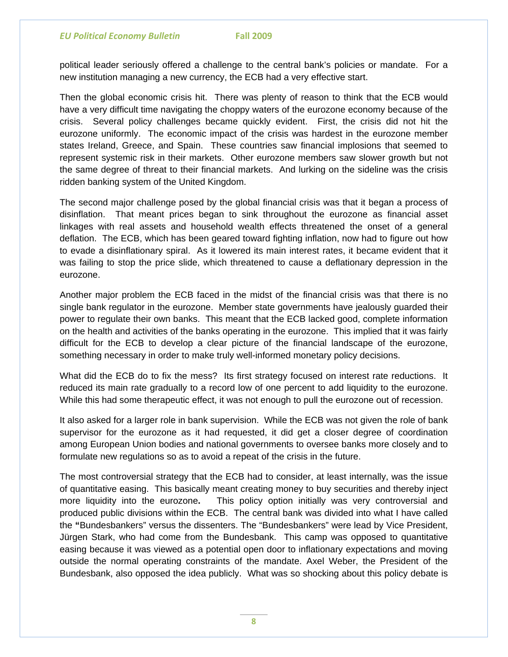political leader seriously offered a challenge to the central bank's policies or mandate. For a new institution managing a new currency, the ECB had a very effective start.

Then the global economic crisis hit. There was plenty of reason to think that the ECB would have a very difficult time navigating the choppy waters of the eurozone economy because of the crisis. Several policy challenges became quickly evident. First, the crisis did not hit the eurozone uniformly. The economic impact of the crisis was hardest in the eurozone member states Ireland, Greece, and Spain. These countries saw financial implosions that seemed to represent systemic risk in their markets. Other eurozone members saw slower growth but not the same degree of threat to their financial markets. And lurking on the sideline was the crisis ridden banking system of the United Kingdom.

The second major challenge posed by the global financial crisis was that it began a process of disinflation. That meant prices began to sink throughout the eurozone as financial asset linkages with real assets and household wealth effects threatened the onset of a general deflation. The ECB, which has been geared toward fighting inflation, now had to figure out how to evade a disinflationary spiral. As it lowered its main interest rates, it became evident that it was failing to stop the price slide, which threatened to cause a deflationary depression in the eurozone.

Another major problem the ECB faced in the midst of the financial crisis was that there is no single bank regulator in the eurozone. Member state governments have jealously guarded their power to regulate their own banks. This meant that the ECB lacked good, complete information on the health and activities of the banks operating in the eurozone. This implied that it was fairly difficult for the ECB to develop a clear picture of the financial landscape of the eurozone, something necessary in order to make truly well-informed monetary policy decisions.

What did the ECB do to fix the mess? Its first strategy focused on interest rate reductions. It reduced its main rate gradually to a record low of one percent to add liquidity to the eurozone. While this had some therapeutic effect, it was not enough to pull the eurozone out of recession.

It also asked for a larger role in bank supervision. While the ECB was not given the role of bank supervisor for the eurozone as it had requested, it did get a closer degree of coordination among European Union bodies and national governments to oversee banks more closely and to formulate new regulations so as to avoid a repeat of the crisis in the future.

The most controversial strategy that the ECB had to consider, at least internally, was the issue of quantitative easing.This basically meant creating money to buy securities and thereby inject more liquidity into the eurozone**.** This policy option initially was very controversial and produced public divisions within the ECB. The central bank was divided into what I have called the **"**Bundesbankers" versus the dissenters. The "Bundesbankers" were lead by Vice President, Jürgen Stark, who had come from the Bundesbank. This camp was opposed to quantitative easing because it was viewed as a potential open door to inflationary expectations and moving outside the normal operating constraints of the mandate. Axel Weber, the President of the Bundesbank, also opposed the idea publicly. What was so shocking about this policy debate is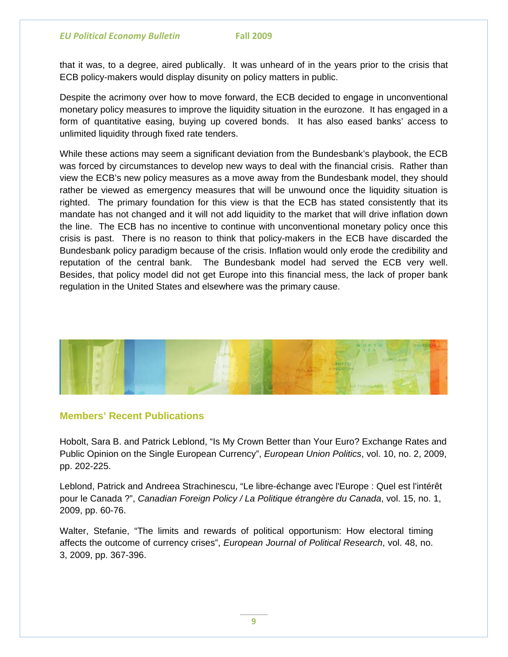that it was, to a degree, aired publically. It was unheard of in the years prior to the crisis that ECB policy-makers would display disunity on policy matters in public.

Despite the acrimony over how to move forward, the ECB decided to engage in unconventional monetary policy measures to improve the liquidity situation in the eurozone. It has engaged in a form of quantitative easing, buying up covered bonds. It has also eased banks' access to unlimited liquidity through fixed rate tenders.

While these actions may seem a significant deviation from the Bundesbank's playbook, the ECB was forced by circumstances to develop new ways to deal with the financial crisis. Rather than view the ECB's new policy measures as a move away from the Bundesbank model, they should rather be viewed as emergency measures that will be unwound once the liquidity situation is righted. The primary foundation for this view is that the ECB has stated consistently that its mandate has not changed and it will not add liquidity to the market that will drive inflation down the line. The ECB has no incentive to continue with unconventional monetary policy once this crisis is past. There is no reason to think that policy-makers in the ECB have discarded the Bundesbank policy paradigm because of the crisis. Inflation would only erode the credibility and reputation of the central bank. The Bundesbank model had served the ECB very well. Besides, that policy model did not get Europe into this financial mess, the lack of proper bank regulation in the United States and elsewhere was the primary cause.



### **Members' Recent Publications**

Hobolt, Sara B. and Patrick Leblond, "Is My Crown Better than Your Euro? Exchange Rates and Public Opinion on the Single European Currency", *European Union Politics*, vol. 10, no. 2, 2009, pp. 202-225.

Leblond, Patrick and Andreea Strachinescu, "Le libre-échange avec l'Europe : Quel est l'intérêt pour le Canada ?", *Canadian Foreign Policy / La Politique étrangère du Canada*, vol. 15, no. 1, 2009, pp. 60-76.

Walter, Stefanie, "The limits and rewards of political opportunism: How electoral timing affects the outcome of currency crises", *European Journal of Political Research*, vol. 48, no. 3, 2009, pp. 367-396.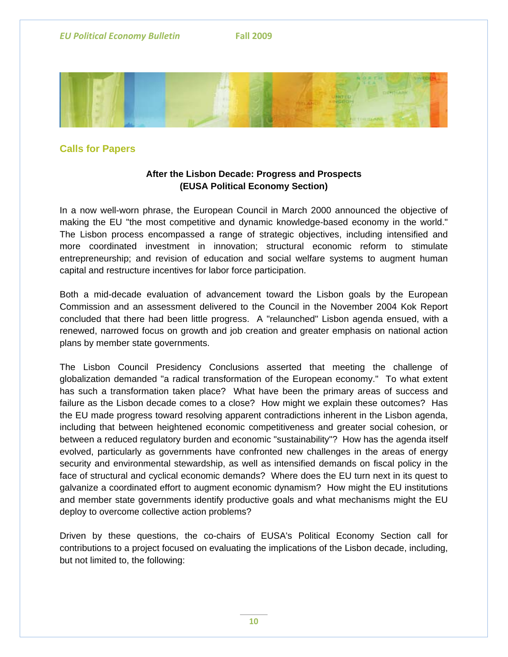

# **Calls for Papers**

# **After the Lisbon Decade: Progress and Prospects (EUSA Political Economy Section)**

In a now well-worn phrase, the European Council in March 2000 announced the objective of making the EU "the most competitive and dynamic knowledge-based economy in the world." The Lisbon process encompassed a range of strategic objectives, including intensified and more coordinated investment in innovation; structural economic reform to stimulate entrepreneurship; and revision of education and social welfare systems to augment human capital and restructure incentives for labor force participation.

Both a mid-decade evaluation of advancement toward the Lisbon goals by the European Commission and an assessment delivered to the Council in the November 2004 Kok Report concluded that there had been little progress. A "relaunched" Lisbon agenda ensued, with a renewed, narrowed focus on growth and job creation and greater emphasis on national action plans by member state governments.

The Lisbon Council Presidency Conclusions asserted that meeting the challenge of globalization demanded "a radical transformation of the European economy." To what extent has such a transformation taken place? What have been the primary areas of success and failure as the Lisbon decade comes to a close? How might we explain these outcomes? Has the EU made progress toward resolving apparent contradictions inherent in the Lisbon agenda, including that between heightened economic competitiveness and greater social cohesion, or between a reduced regulatory burden and economic "sustainability"? How has the agenda itself evolved, particularly as governments have confronted new challenges in the areas of energy security and environmental stewardship, as well as intensified demands on fiscal policy in the face of structural and cyclical economic demands? Where does the EU turn next in its quest to galvanize a coordinated effort to augment economic dynamism? How might the EU institutions and member state governments identify productive goals and what mechanisms might the EU deploy to overcome collective action problems?

Driven by these questions, the co-chairs of EUSA's Political Economy Section call for contributions to a project focused on evaluating the implications of the Lisbon decade, including, but not limited to, the following: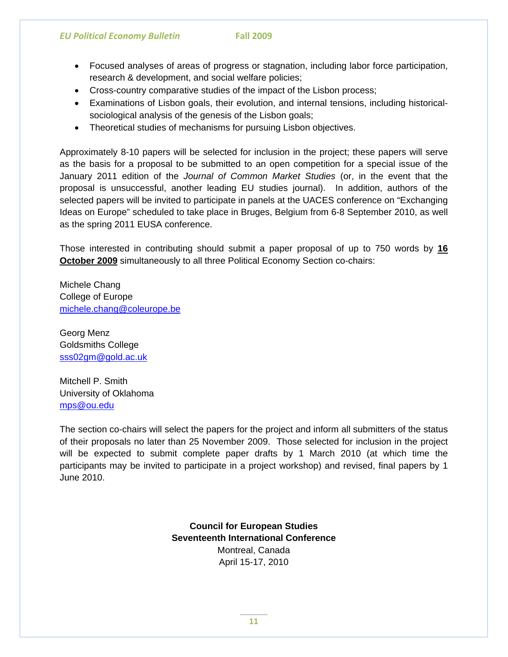- Focused analyses of areas of progress or stagnation, including labor force participation, research & development, and social welfare policies;
- Cross-country comparative studies of the impact of the Lisbon process;
- Examinations of Lisbon goals, their evolution, and internal tensions, including historicalsociological analysis of the genesis of the Lisbon goals;
- Theoretical studies of mechanisms for pursuing Lisbon objectives.

Approximately 8-10 papers will be selected for inclusion in the project; these papers will serve as the basis for a proposal to be submitted to an open competition for a special issue of the January 2011 edition of the *Journal of Common Market Studies* (or, in the event that the proposal is unsuccessful, another leading EU studies journal). In addition, authors of the selected papers will be invited to participate in panels at the UACES conference on "Exchanging Ideas on Europe" scheduled to take place in Bruges, Belgium from 6-8 September 2010, as well as the spring 2011 EUSA conference.

Those interested in contributing should submit a paper proposal of up to 750 words by **16 October 2009** simultaneously to all three Political Economy Section co-chairs:

Michele Chang College of Europe [michele.chang@coleurope.be](mailto:michele.chang@coleurope.be)

Georg Menz Goldsmiths College [sss02gm@gold.ac.uk](mailto:sss02gm@gold.ac.uk)

Mitchell P. Smith University of Oklahoma [mps@ou.edu](mailto:mps@ou.edu)

The section co-chairs will select the papers for the project and inform all submitters of the status of their proposals no later than 25 November 2009. Those selected for inclusion in the project will be expected to submit complete paper drafts by 1 March 2010 (at which time the participants may be invited to participate in a project workshop) and revised, final papers by 1 June 2010.

> **Council for European Studies Seventeenth International Conference** Montreal, Canada April 15-17, 2010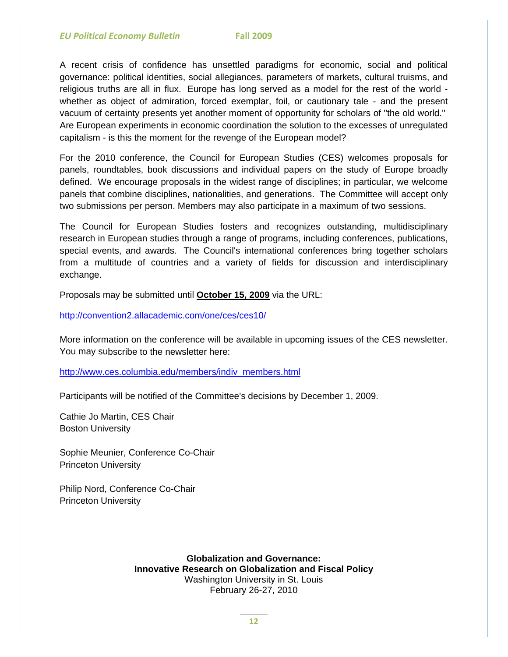A recent crisis of confidence has unsettled paradigms for economic, social and political governance: political identities, social allegiances, parameters of markets, cultural truisms, and religious truths are all in flux. Europe has long served as a model for the rest of the world whether as object of admiration, forced exemplar, foil, or cautionary tale - and the present vacuum of certainty presents yet another moment of opportunity for scholars of "the old world." Are European experiments in economic coordination the solution to the excesses of unregulated capitalism - is this the moment for the revenge of the European model?

For the 2010 conference, the Council for European Studies (CES) welcomes proposals for panels, roundtables, book discussions and individual papers on the study of Europe broadly defined. We encourage proposals in the widest range of disciplines; in particular, we welcome panels that combine disciplines, nationalities, and generations. The Committee will accept only two submissions per person. Members may also participate in a maximum of two sessions.

The Council for European Studies fosters and recognizes outstanding, multidisciplinary research in European studies through a range of programs, including conferences, publications, special events, and awards. The Council's international conferences bring together scholars from a multitude of countries and a variety of fields for discussion and interdisciplinary exchange.

Proposals may be submitted until **October 15, 2009** via the URL:

<http://convention2.allacademic.com/one/ces/ces10/>

More information on the conference will be available in upcoming issues of the CES newsletter. You may subscribe to the newsletter here:

[http://www.ces.columbia.edu/members/indiv\\_members.html](http://www.ces.columbia.edu/members/indiv_members.html)

Participants will be notified of the Committee's decisions by December 1, 2009.

Cathie Jo Martin, CES Chair Boston University

Sophie Meunier, Conference Co-Chair Princeton University

Philip Nord, Conference Co-Chair Princeton University

> **Globalization and Governance: Innovative Research on Globalization and Fiscal Policy**  Washington University in St. Louis February 26-27, 2010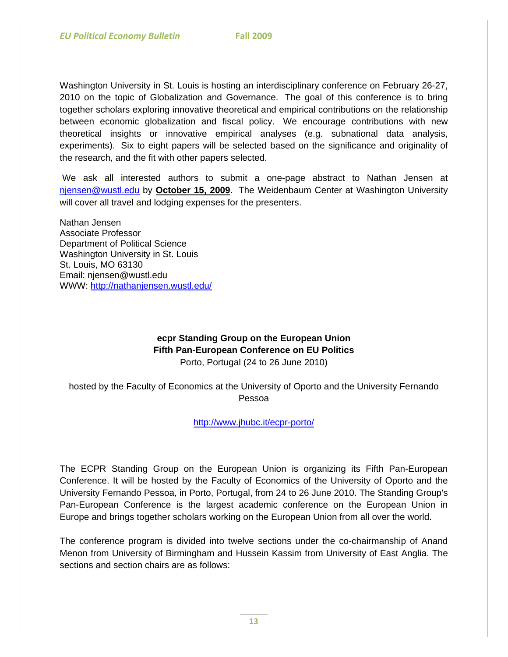Washington University in St. Louis is hosting an interdisciplinary conference on February 26-27, 2010 on the topic of Globalization and Governance. The goal of this conference is to bring together scholars exploring innovative theoretical and empirical contributions on the relationship between economic globalization and fiscal policy. We encourage contributions with new theoretical insights or innovative empirical analyses (e.g. subnational data analysis, experiments). Six to eight papers will be selected based on the significance and originality of the research, and the fit with other papers selected.

 We ask all interested authors to submit a one-page abstract to Nathan Jensen at [njensen@wustl.edu](mailto:njensen@wustl.edu) by **October 15, 2009**. The Weidenbaum Center at Washington University will cover all travel and lodging expenses for the presenters.

Nathan Jensen Associate Professor Department of Political Science Washington University in St. Louis St. Louis, MO 63130 Email: njensen@wustl.edu WWW:<http://nathanjensen.wustl.edu/>

## **ecpr Standing Group on the European Union Fifth Pan-European Conference on EU Politics** Porto, Portugal (24 to 26 June 2010)

hosted by the Faculty of Economics at the University of Oporto and the University Fernando Pessoa

<http://www.jhubc.it/ecpr-porto/>

The ECPR Standing Group on the European Union is organizing its Fifth Pan-European Conference. It will be hosted by the Faculty of Economics of the University of Oporto and the University Fernando Pessoa, in Porto, Portugal, from 24 to 26 June 2010. The Standing Group's Pan-European Conference is the largest academic conference on the European Union in Europe and brings together scholars working on the European Union from all over the world.

The conference program is divided into twelve sections under the co-chairmanship of Anand Menon from University of Birmingham and Hussein Kassim from University of East Anglia. The sections and section chairs are as follows: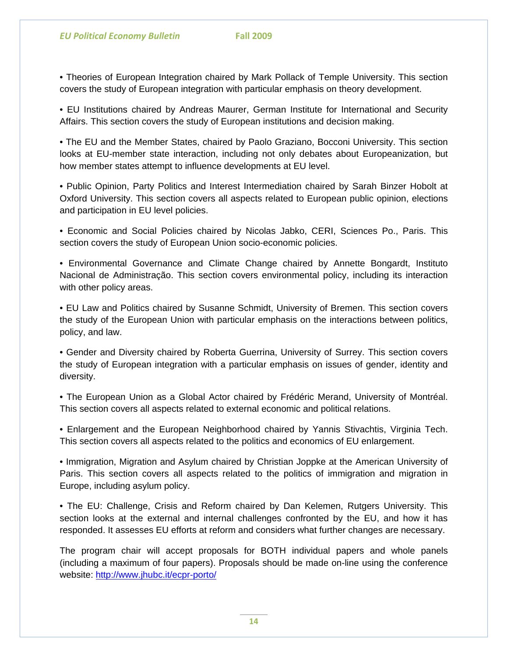• Theories of European Integration chaired by Mark Pollack of Temple University. This section covers the study of European integration with particular emphasis on theory development.

• EU Institutions chaired by Andreas Maurer, German Institute for International and Security Affairs. This section covers the study of European institutions and decision making.

• The EU and the Member States, chaired by Paolo Graziano, Bocconi University. This section looks at EU-member state interaction, including not only debates about Europeanization, but how member states attempt to influence developments at EU level.

• Public Opinion, Party Politics and Interest Intermediation chaired by Sarah Binzer Hobolt at Oxford University. This section covers all aspects related to European public opinion, elections and participation in EU level policies.

• Economic and Social Policies chaired by Nicolas Jabko, CERI, Sciences Po., Paris. This section covers the study of European Union socio-economic policies.

• Environmental Governance and Climate Change chaired by Annette Bongardt, Instituto Nacional de Administração. This section covers environmental policy, including its interaction with other policy areas.

• EU Law and Politics chaired by Susanne Schmidt, University of Bremen. This section covers the study of the European Union with particular emphasis on the interactions between politics, policy, and law.

• Gender and Diversity chaired by Roberta Guerrina, University of Surrey. This section covers the study of European integration with a particular emphasis on issues of gender, identity and diversity.

• The European Union as a Global Actor chaired by Frédéric Merand, University of Montréal. This section covers all aspects related to external economic and political relations.

• Enlargement and the European Neighborhood chaired by Yannis Stivachtis, Virginia Tech. This section covers all aspects related to the politics and economics of EU enlargement.

• Immigration, Migration and Asylum chaired by Christian Joppke at the American University of Paris. This section covers all aspects related to the politics of immigration and migration in Europe, including asylum policy.

• The EU: Challenge, Crisis and Reform chaired by Dan Kelemen, Rutgers University. This section looks at the external and internal challenges confronted by the EU, and how it has responded. It assesses EU efforts at reform and considers what further changes are necessary.

The program chair will accept proposals for BOTH individual papers and whole panels (including a maximum of four papers). Proposals should be made on-line using the conference website:<http://www.jhubc.it/ecpr-porto/>